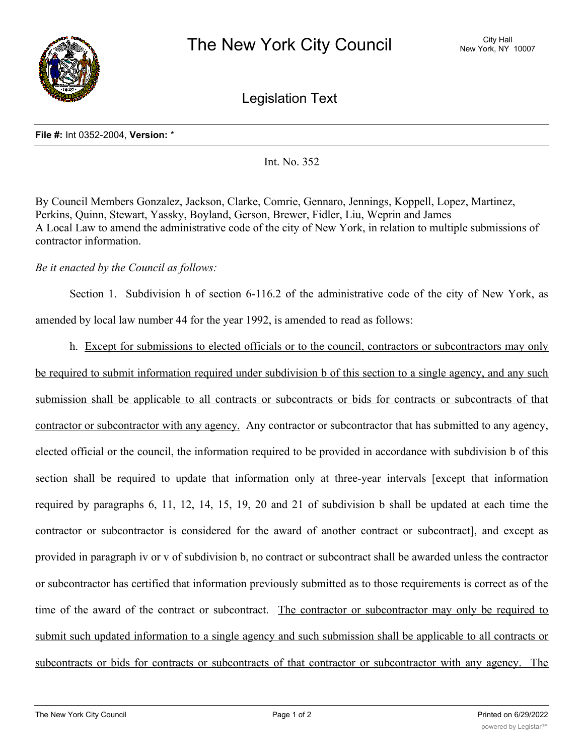

Legislation Text

## **File #:** Int 0352-2004, **Version:** \*

Int. No. 352

By Council Members Gonzalez, Jackson, Clarke, Comrie, Gennaro, Jennings, Koppell, Lopez, Martinez, Perkins, Quinn, Stewart, Yassky, Boyland, Gerson, Brewer, Fidler, Liu, Weprin and James A Local Law to amend the administrative code of the city of New York, in relation to multiple submissions of contractor information.

## *Be it enacted by the Council as follows:*

Section 1. Subdivision h of section 6-116.2 of the administrative code of the city of New York, as amended by local law number 44 for the year 1992, is amended to read as follows:

h. Except for submissions to elected officials or to the council, contractors or subcontractors may only be required to submit information required under subdivision b of this section to a single agency, and any such submission shall be applicable to all contracts or subcontracts or bids for contracts or subcontracts of that contractor or subcontractor with any agency. Any contractor or subcontractor that has submitted to any agency, elected official or the council, the information required to be provided in accordance with subdivision b of this section shall be required to update that information only at three-year intervals [except that information required by paragraphs 6, 11, 12, 14, 15, 19, 20 and 21 of subdivision b shall be updated at each time the contractor or subcontractor is considered for the award of another contract or subcontract], and except as provided in paragraph iv or v of subdivision b, no contract or subcontract shall be awarded unless the contractor or subcontractor has certified that information previously submitted as to those requirements is correct as of the time of the award of the contract or subcontract. The contractor or subcontractor may only be required to submit such updated information to a single agency and such submission shall be applicable to all contracts or subcontracts or bids for contracts or subcontracts of that contractor or subcontractor with any agency. The